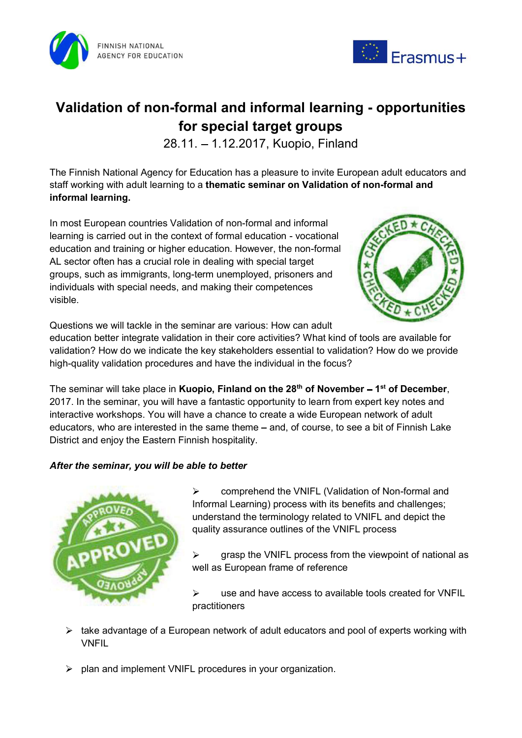



# Validation of non-formal and informal learning - opportunities for special target groups

28.11. 1.12.2017, Kuopio, Finland

The Finnish National Agency for Education has a pleasure to invite European adult educators and staff working with adult learning to a thematic seminar on Validation of non-formal and informal learning.

In most European countries Validation of non-formal and informal learning is carried out in the context of formal education - vocational education and training or higher education. However, the non-formal AL sector often has a crucial role in dealing with special target groups, such as immigrants, long-term unemployed, prisoners and individuals with special needs, and making their competences visible.



Questions we will tackle in the seminar are various: How can adult

education better integrate validation in their core activities? What kind of tools are available for validation? How do we indicate the key stakeholders essential to validation? How do we provide high-quality validation procedures and have the individual in the focus?

The seminar will take place in **Kuopio, Finland on the 28<sup>th</sup> of November – 1<sup>st</sup> of December, 2017. In the seminar, you will have a fantastic opportunity to learn from expert key notes and** interactive workshops. You will have a chance to create a wide European network of adult educators, who are interested in the same theme – and, of course, to see a bit of Finnish Lake District and enjoy the Eastern Finnish hospitality.

## After the seminar, you will be able to better



 $\triangleright$  comprehend the VNIFL (Validation of Non-formal and Informal Learning) process with its benefits and challenges; understand the terminology related to VNIFL and depict the quality assurance outlines of the VNIFL process

 $\triangleright$  grasp the VNIFL process from the viewpoint of national as well as European frame of reference

 use and have access to available tools created for VNFIL practitioners

- $\triangleright$  take advantage of a European network of adult educators and pool of experts working with VNFIL
- $\triangleright$  plan and implement VNIFL procedures in your organization.